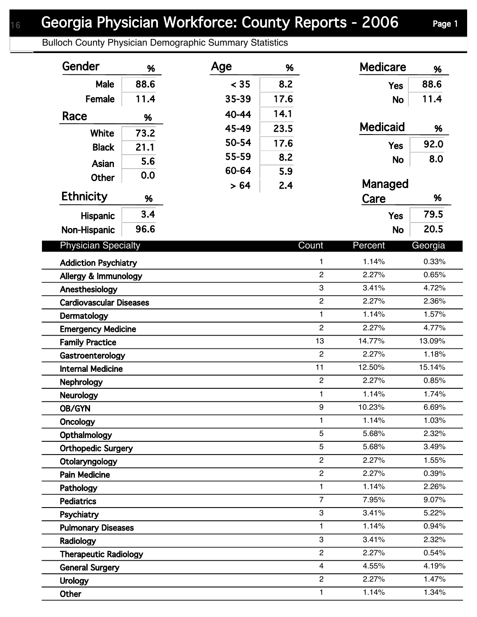Bulloch County Physician Demographic Summary Statistics

| Gender                                      | %    | Age   | %     |                | <b>Medicare</b> | %       |
|---------------------------------------------|------|-------|-------|----------------|-----------------|---------|
| Male                                        | 88.6 | < 35  | 8.2   |                | <b>Yes</b>      | 88.6    |
| Female                                      | 11.4 | 35-39 | 17.6  |                | <b>No</b>       | 11.4    |
| Race                                        | %    | 40-44 | 14.1  |                |                 |         |
|                                             |      | 45-49 | 23.5  |                | <b>Medicaid</b> | %       |
| White                                       | 73.2 | 50-54 | 17.6  |                | <b>Yes</b>      | 92.0    |
| <b>Black</b>                                | 21.1 | 55-59 | 8.2   |                |                 | 8.0     |
| <b>Asian</b>                                | 5.6  | 60-64 | 5.9   |                | <b>No</b>       |         |
| Other                                       | 0.0  | > 64  | 2.4   |                | Managed         |         |
| <b>Ethnicity</b>                            | %    |       |       |                | Care            | %       |
| Hispanic                                    | 3.4  |       |       |                | <b>Yes</b>      | 79.5    |
| Non-Hispanic                                | 96.6 |       |       |                | <b>No</b>       | 20.5    |
| <b>Physician Specialty</b>                  |      |       |       | Count          |                 |         |
|                                             |      |       |       |                | Percent         | Georgia |
| 1<br><b>Addiction Psychiatry</b>            |      |       |       | 1.14%          | 0.33%           |         |
| $\overline{c}$<br>Allergy & Immunology<br>3 |      |       |       | 2.27%          | 0.65%           |         |
| Anesthesiology<br>$\overline{c}$            |      |       |       | 3.41%<br>2.27% | 4.72%<br>2.36%  |         |
| <b>Cardiovascular Diseases</b>              |      |       |       | 1.14%          | 1.57%           |         |
| Dermatology<br>$\overline{c}$               |      |       |       | 1              | 2.27%           | 4.77%   |
| <b>Emergency Medicine</b>                   |      |       | 13    | 14.77%         | 13.09%          |         |
| <b>Family Practice</b>                      |      |       |       | $\overline{2}$ | 2.27%           | 1.18%   |
| Gastroenterology                            |      |       |       | 11             | 12.50%          | 15.14%  |
| <b>Internal Medicine</b>                    |      |       |       | $\overline{c}$ | 2.27%           | 0.85%   |
| <b>Nephrology</b>                           |      |       |       | $\mathbf{1}$   | 1.14%           | 1.74%   |
| <b>Neurology</b><br>OB/GYN                  |      |       |       | 9              | 10.23%          | 6.69%   |
| <b>Oncology</b>                             |      |       |       | 1              | 1.14%           | 1.03%   |
| Opthalmology                                |      |       |       | 5              | 5.68%           | 2.32%   |
| <b>Orthopedic Surgery</b>                   |      |       |       | 5              | 5.68%           | 3.49%   |
| $\overline{2}$<br>Otolaryngology            |      |       | 2.27% | 1.55%          |                 |         |
| <b>Pain Medicine</b>                        |      |       |       | $\overline{c}$ | 2.27%           | 0.39%   |
| Pathology                                   |      |       |       | 1              | 1.14%           | 2.26%   |
| <b>Pediatrics</b>                           |      |       |       | $\overline{7}$ | 7.95%           | 9.07%   |
| Psychiatry                                  |      |       |       | 3              | 3.41%           | 5.22%   |
| <b>Pulmonary Diseases</b>                   |      |       | 1     | 1.14%          | 0.94%           |         |
| Radiology                                   |      |       |       | 3              | 3.41%           | 2.32%   |
| <b>Therapeutic Radiology</b>                |      |       |       | $\overline{c}$ | 2.27%           | 0.54%   |
| <b>General Surgery</b>                      |      |       |       | $\overline{4}$ | 4.55%           | 4.19%   |
| <b>Urology</b>                              |      |       |       | $\overline{2}$ | 2.27%           | 1.47%   |
| Other                                       |      |       |       | 1              | 1.14%           | 1.34%   |